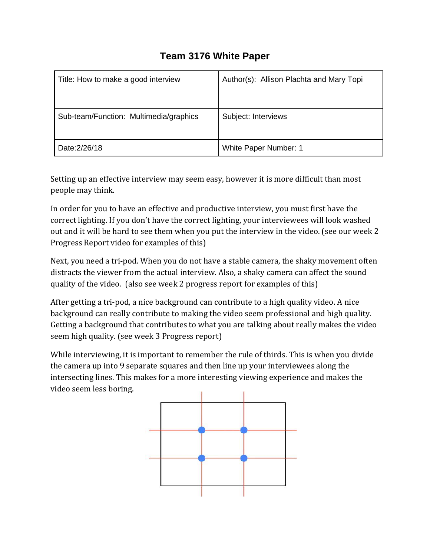## **Team 3176 White Paper**

| Title: How to make a good interview    | Author(s): Allison Plachta and Mary Topi |
|----------------------------------------|------------------------------------------|
| Sub-team/Function: Multimedia/graphics | Subject: Interviews                      |
| Date: 2/26/18                          | White Paper Number: 1                    |

Setting up an effective interview may seem easy, however it is more difficult than most people may think.

In order for you to have an effective and productive interview, you must first have the correct lighting. If you don't have the correct lighting, your interviewees will look washed out and it will be hard to see them when you put the interview in the video. (see our week 2 Progress Report video for examples of this)

Next, you need a tri-pod. When you do not have a stable camera, the shaky movement often distracts the viewer from the actual interview. Also, a shaky camera can affect the sound quality of the video. (also see week 2 progress report for examples of this)

After getting a tri-pod, a nice background can contribute to a high quality video. A nice background can really contribute to making the video seem professional and high quality. Getting a background that contributes to what you are talking about really makes the video seem high quality. (see week 3 Progress report)

While interviewing, it is important to remember the rule of thirds. This is when you divide the camera up into 9 separate squares and then line up your interviewees along the intersecting lines. This makes for a more interesting viewing experience and makes the video seem less boring.